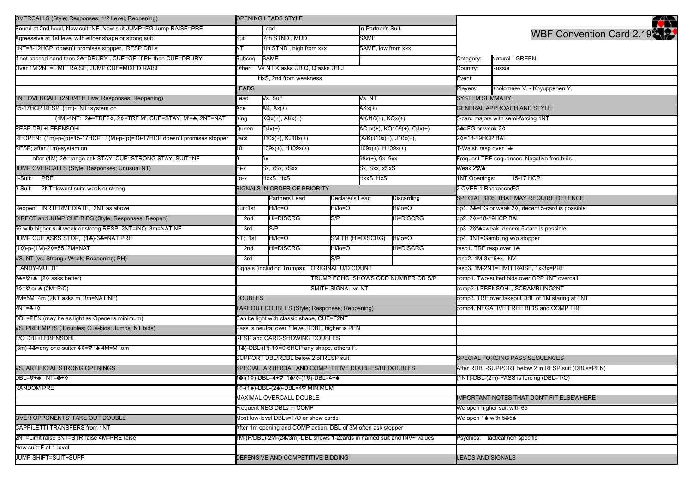| OVERCALLS (Style; Responses; 1/2 Level; Reopening)                        | <b>OPENING LEADS STYLE</b>                                             |                                                   |                   |                                              |            |                                                    | Ŷ                                                |  |
|---------------------------------------------------------------------------|------------------------------------------------------------------------|---------------------------------------------------|-------------------|----------------------------------------------|------------|----------------------------------------------------|--------------------------------------------------|--|
| Sound at 2nd level, New suit=NF, New suit JUMP=FG, Jump RAISE=PRE         |                                                                        | Lead                                              |                   | In Partner's Suit                            |            |                                                    |                                                  |  |
| Agreessive at 1st level with either shape or strong suit                  | Suit                                                                   | 4th STND, MUD                                     |                   | SAME                                         |            | WBF Convention Card 2.19                           |                                                  |  |
| 1NT=8-12HCP, doesn't promises stopper, RESP DBLs                          | NT                                                                     | 4th STND, high from xxx                           |                   | SAME, low from xxx                           |            |                                                    |                                                  |  |
| if not passed hand then 2♣=DRURY, CUE=GF, if PH then CUE=DRURY            | Subseq                                                                 | SAME                                              |                   |                                              |            | Category:                                          | Natural - GREEN                                  |  |
| Over 1M 2NT=LIMIT RAISE, JUMP CUE=MIXED RAISE                             | Other: Vs NT K asks UB Q, Q asks UB J                                  |                                                   |                   | Country:                                     | Russia     |                                                    |                                                  |  |
|                                                                           | HxS, 2nd from weakness                                                 |                                                   |                   |                                              |            |                                                    |                                                  |  |
|                                                                           | <b>EADS</b>                                                            |                                                   |                   |                                              |            |                                                    | Kholomeev V, - Khyuppenen Y.                     |  |
| 1NT OVERCALL (2ND/4TH Live; Responses; Reopening)                         | Lead                                                                   | Vs. NT<br>Vs. Suit                                |                   |                                              |            | <b>SYSTEM SUMMARY</b>                              |                                                  |  |
| 15-17HCP RESP: (1m)-1NT: system on                                        | Ace                                                                    | AK, Ax(+)                                         |                   | AKx(+)                                       |            |                                                    | <b>GENERAL APPROACH AND STYLE</b>                |  |
| (1M)-1NT: 24=TRF20, 20=TRF M', CUE=STAY, M'=4, 2NT=NAT                    | King                                                                   | KQx(+), AKx(+)                                    |                   | AKJ10(+), KQx(+)                             |            |                                                    | 5-card majors with semi-forcing 1NT              |  |
| RESP DBL+LEBENSOHL                                                        | Queen                                                                  | QJx(+)                                            |                   | AQJx(+), KQ109(+), QJx(+)                    |            | 2♣=FG or weak 2♦                                   |                                                  |  |
| REOPEN: (1m)-p-(p)=15-17HCP, 1(M)-p-(p)=10-17HCP doesn't promises stopper | Jack                                                                   | J10x(+), KJ10x(+)                                 |                   | (A/K)J10x(+), J10x(+),                       |            | 2♦=18-19HCP BAL                                    |                                                  |  |
| RESP; after (1m)-system on                                                | 10                                                                     | 109x(+), H109x(+)                                 |                   | 109x(+), H109x(+)                            |            | T-Walsh resp over 1♣                               |                                                  |  |
| after (1M)-24=range ask STAY, CUE=STRONG STAY, SUIT=NF                    |                                                                        | 9x                                                |                   | 98x(+), 9x, 9xx                              |            | Frequent TRF sequences. Negative free bids.        |                                                  |  |
| JUMP OVERCALLS (Style; Responses; Unusual NT)                             | Hi-x                                                                   | Sx, xSx, xSxx                                     |                   | Sx, Sxx, xSxS                                |            | Weak 2♡/♠                                          |                                                  |  |
| 1-Suit: PRE                                                               | $X$ -O                                                                 | HxxS, HxS                                         |                   | HxxS, HxS                                    |            | 1NT Openings:                                      | 15-17 HCP                                        |  |
| 2-Suit: 2NT=lowest suits weak or strong                                   |                                                                        | SIGNALS IN ORDER OF PRIORITY                      |                   |                                              |            | 2 OVER 1 ResponsesFG                               |                                                  |  |
|                                                                           | Partners Lead<br>Declarer's Lead                                       |                                                   |                   |                                              | Discarding |                                                    | SPECIAL BIDS THAT MAY REQUIRE DEFENCE            |  |
| Reopen: INRTERMEDIATE, 2NT as above                                       | Suit:1st                                                               | Hi/lo=O                                           | Hi/lo=O           |                                              | Hi/lo=O    |                                                    | op1. 2♣=FG or weak 2◊, decent 5-card is possible |  |
| DIRECT and JUMP CUE BIDS (Style; Responses; Reopen)                       | 2nd                                                                    | Hi=DISCRG                                         | S/P               | Hi=DISCRG                                    |            | op2. 2♦=18-19HCP BAL                               |                                                  |  |
| 55 with higher suit weak or strong RESP; 2NT=INQ, 3m=NAT NF               | 3rd                                                                    | S/P                                               |                   |                                              |            |                                                    | op3. 2♡/▲=weak, decent 5-card is possible        |  |
| JUMP CUE ASKS STOP, (14)-34=NAT PRE                                       | VT: 1st                                                                | Hi/lo=O                                           | SMITH (Hi=DISCRG) |                                              | Hi/lo=O    |                                                    | op4. 3NT=Gambling w/o stopper                    |  |
| (10)-p-(1M)-20=55, 2M=NAT                                                 | 2nd                                                                    | <b>Hi=DISCRG</b>                                  | Hi/lo=O           |                                              | Hi=DISCRG  | resp1. TRF resp over 1♣                            |                                                  |  |
| VS. NT (vs. Strong / Weak; Reopening; PH)                                 | 3rd                                                                    |                                                   | S/P               |                                              |            | resp2. 1M-3x=6+x, INV                              |                                                  |  |
| "LANDY-MULTI"                                                             |                                                                        | ORIGINAL U/D COUNT<br>Signals (including Trumps): |                   |                                              |            | resp3. 1M-2NT=LIMIT RAISE, 1x-3x=PRE               |                                                  |  |
| 2♣=♡+♠ (2♦ asks better)                                                   | TRUMP ECHO SHOWS ODD NUMBER OR S/P                                     |                                                   |                   | comp1. Two-suited bids over OPP 1NT overcall |            |                                                    |                                                  |  |
| 2♦=♡ or ♠ (2M=P/C)                                                        | SMITH SIGNAL vs NT                                                     |                                                   |                   |                                              |            | comp2. LEBENSOHL, SCRAMBLING2NT                    |                                                  |  |
| 2M=5M+4m (2NT asks m, 3m=NAT NF)                                          | <b>DOUBLES</b>                                                         |                                                   |                   |                                              |            | comp3. TRF over takeout DBL of 1M staring at 1NT   |                                                  |  |
| 2NT=♣+♦                                                                   | TAKEOUT DOUBLES (Style; Responses; Reopening)                          |                                                   |                   |                                              |            | comp4. NEGATIVE FREE BIDS and COMP TRF             |                                                  |  |
| DBL=PEN (may be as light as Opener's minimum)                             | Can be light with classic shape, CUE=F2NT                              |                                                   |                   |                                              |            |                                                    |                                                  |  |
| VS. PREEMPTS (Doubles; Cue-bids; Jumps; NT bids)                          | Pass is neutral over 1 level RDBL, higher is PEN                       |                                                   |                   |                                              |            |                                                    |                                                  |  |
| <b>T/O DBL+LEBENSOHL</b>                                                  |                                                                        | RESP and CARD-SHOWING DOUBLES                     |                   |                                              |            |                                                    |                                                  |  |
| (3m)-4♣=any one-suiter 4♦=♡+♠ 4M=M+om                                     | (1♣)-DBL-(P)-1♦=0-6HCP any shape, others F.                            |                                                   |                   |                                              |            |                                                    |                                                  |  |
|                                                                           | SUPPORT DBL/RDBL below 2 of RESP suit                                  |                                                   |                   |                                              |            |                                                    | SPECIAL FORCING PASS SEQUENCES                   |  |
| VS. ARTIFICIAL STRONG OPENINGS                                            | SPECIAL, ARTIFICIAL AND COMPETITIVE DOUBLES/REDOUBLES                  |                                                   |                   |                                              |            | After RDBL-SUPPORT below 2 in RESP suit (DBLs=PEN) |                                                  |  |
| DBL=♡+♠,NT=♣+♦                                                            |                                                                        | 1♣-(10)-DBL=4+♡ 1♣/0-(1♡)-DBL=4+♠                 |                   |                                              |            | (1NT)-DBL-(2m)-PASS is forcing (DBL=T/O)           |                                                  |  |
| <b>RANDOM PRE</b>                                                         | 1♦-(1♠)-DBL-(2♠)-DBL=4V MINIMUM                                        |                                                   |                   |                                              |            |                                                    |                                                  |  |
|                                                                           | <b>MAXIMAL OVERCALL DOUBLE</b>                                         |                                                   |                   |                                              |            | <b>IMPORTANT NOTES THAT DON'T FIT ELSEWHERE</b>    |                                                  |  |
| Frequent NEG DBLs in COMP                                                 |                                                                        |                                                   |                   |                                              |            | We open higher suit with 65                        |                                                  |  |
| OVER OPPONENTS' TAKE OUT DOUBLE                                           | Most low-level DBLs=T/O or show cards                                  |                                                   |                   |                                              |            | We open 1♠ with 5♣5♠                               |                                                  |  |
| CAPPILETTI TRANSFERS from 1NT                                             | After 1m opening and COMP action, DBL of 3M often ask stopper          |                                                   |                   |                                              |            |                                                    |                                                  |  |
| 2NT=Limit raise 3NT=STR raise 4M=PRE raise                                | 1M-(P/DBL)-2M-(24/3m)-DBL shows 1-2cards in named suit and INV+ values |                                                   |                   |                                              |            |                                                    | Psychics: tactical non specific                  |  |
| New suit=F at 1-level                                                     |                                                                        |                                                   |                   |                                              |            |                                                    |                                                  |  |
| <b>JUMP SHIFT=SUIT+SUPP</b>                                               | DEFENSIVE AND COMPETITIVE BIDDING                                      |                                                   |                   |                                              |            | <b>EADS AND SIGNALS</b>                            |                                                  |  |